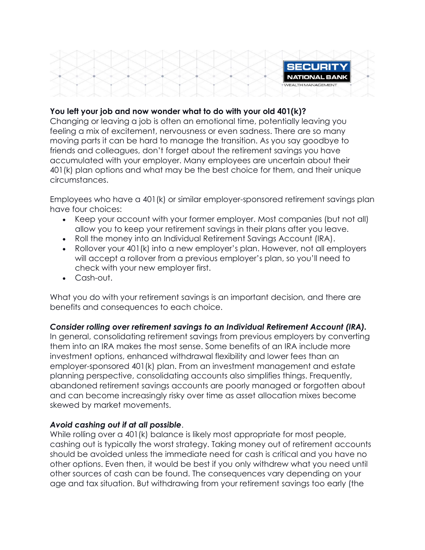

### **You left your job and now wonder what to do with your old 401(k)?**

Changing or leaving a job is often an emotional time, potentially leaving you feeling a mix of excitement, nervousness or even sadness. There are so many moving parts it can be hard to manage the transition. As you say goodbye to friends and colleagues, don't forget about the retirement savings you have accumulated with your employer. Many employees are uncertain about their 401(k) plan options and what may be the best choice for them, and their unique circumstances.

Employees who have a 401(k) or similar employer-sponsored retirement savings plan have four choices:

- Keep your account with your former employer. Most companies (but not all) allow you to keep your retirement savings in their plans after you leave.
- Roll the money into an Individual Retirement Savings Account (IRA).
- Rollover your 401(k) into a new employer's plan. However, not all employers will accept a rollover from a previous employer's plan, so you'll need to check with your new employer first.
- Cash-out.

What you do with your retirement savings is an important decision, and there are benefits and consequences to each choice.

# *Consider rolling over retirement savings to an Individual Retirement Account (IRA).*

In general, consolidating retirement savings from previous employers by converting them into an IRA makes the most sense. Some benefits of an IRA include more investment options, enhanced withdrawal flexibility and lower fees than an employer-sponsored 401(k) plan. From an investment management and estate planning perspective, consolidating accounts also simplifies things. Frequently, abandoned retirement savings accounts are poorly managed or forgotten about and can become increasingly risky over time as asset allocation mixes become skewed by market movements.

#### *Avoid cashing out if at all possible*.

While rolling over a 401 (k) balance is likely most appropriate for most people, cashing out is typically the worst strategy. Taking money out of retirement accounts should be avoided unless the immediate need for cash is critical and you have no other options. Even then, it would be best if you only withdrew what you need until other sources of cash can be found. The consequences vary depending on your age and tax situation. But withdrawing from your retirement savings too early (the